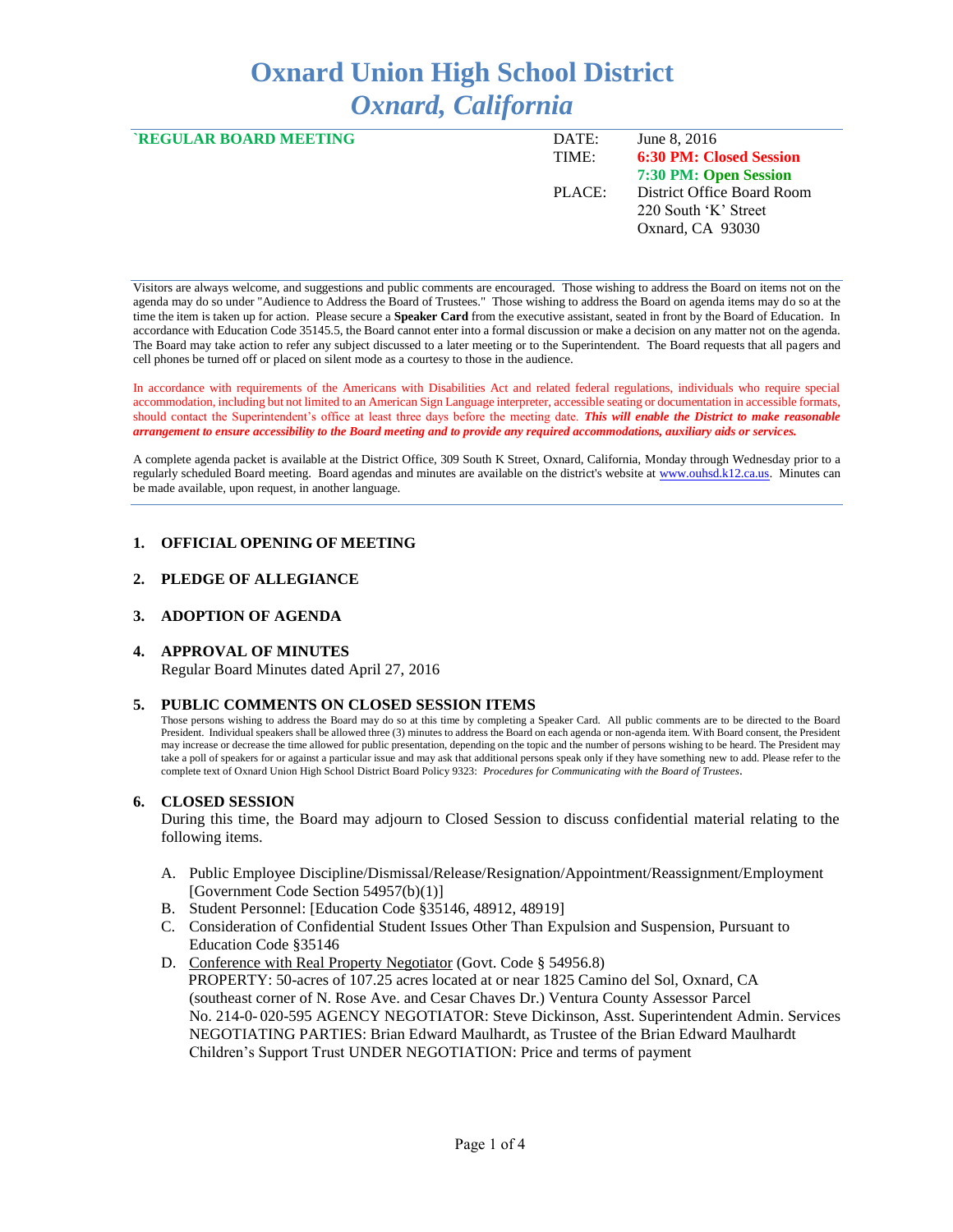# **Oxnard Union High School District** *Oxnard, California*

| <b>`REGULAR BOARD MEETING</b> | DATE:<br>TIME: | June 8, 2016<br><b>6:30 PM: Closed Session</b>                         |
|-------------------------------|----------------|------------------------------------------------------------------------|
|                               |                | 7:30 PM: Open Session                                                  |
|                               | PLACE:         | District Office Board Room<br>220 South 'K' Street<br>Oxnard, CA 93030 |

Visitors are always welcome, and suggestions and public comments are encouraged. Those wishing to address the Board on items not on the agenda may do so under "Audience to Address the Board of Trustees." Those wishing to address the Board on agenda items may do so at the time the item is taken up for action. Please secure a **Speaker Card** from the executive assistant, seated in front by the Board of Education. In accordance with Education Code 35145.5, the Board cannot enter into a formal discussion or make a decision on any matter not on the agenda. The Board may take action to refer any subject discussed to a later meeting or to the Superintendent. The Board requests that all pagers and cell phones be turned off or placed on silent mode as a courtesy to those in the audience.

In accordance with requirements of the Americans with Disabilities Act and related federal regulations, individuals who require special accommodation, including but not limited to an American Sign Language interpreter, accessible seating or documentation in accessible formats, should contact the Superintendent's office at least three days before the meeting date. *This will enable the District to make reasonable arrangement to ensure accessibility to the Board meeting and to provide any required accommodations, auxiliary aids or services.* 

A complete agenda packet is available at the District Office, 309 South K Street, Oxnard, California, Monday through Wednesday prior to a regularly scheduled Board meeting. Board agendas and minutes are available on the district's website a[t www.ouhsd.k12.ca.us.](http://www.ouhsd.k12.ca.us/)Minutes can be made available, upon request, in another language.

# **1. OFFICIAL OPENING OF MEETING**

# **2. PLEDGE OF ALLEGIANCE**

### **3. ADOPTION OF AGENDA**

# **4. APPROVAL OF MINUTES**

Regular Board Minutes dated April 27, 2016

#### **5. PUBLIC COMMENTS ON CLOSED SESSION ITEMS**

Those persons wishing to address the Board may do so at this time by completing a Speaker Card. All public comments are to be directed to the Board President. Individual speakers shall be allowed three (3) minutes to address the Board on each agenda or non-agenda item. With Board consent, the President may increase or decrease the time allowed for public presentation, depending on the topic and the number of persons wishing to be heard. The President may take a poll of speakers for or against a particular issue and may ask that additional persons speak only if they have something new to add. Please refer to the complete text of Oxnard Union High School District Board Policy 9323: *Procedures for Communicating with the Board of Trustees*.

#### **6. CLOSED SESSION**

During this time, the Board may adjourn to Closed Session to discuss confidential material relating to the following items.

- A. Public Employee Discipline/Dismissal/Release/Resignation/Appointment/Reassignment/Employment [Government Code Section 54957(b)(1)]
- B. Student Personnel: [Education Code §35146, 48912, 48919]
- C. Consideration of Confidential Student Issues Other Than Expulsion and Suspension, Pursuant to Education Code §35146
- D. Conference with Real Property Negotiator (Govt. Code § 54956.8) PROPERTY: 50-acres of 107.25 acres located at or near 1825 Camino del Sol, Oxnard, CA (southeast corner of N. Rose Ave. and Cesar Chaves Dr.) Ventura County Assessor Parcel No. 214-0- 020-595 AGENCY NEGOTIATOR: Steve Dickinson, Asst. Superintendent Admin. Services NEGOTIATING PARTIES: Brian Edward Maulhardt, as Trustee of the Brian Edward Maulhardt Children's Support Trust UNDER NEGOTIATION: Price and terms of payment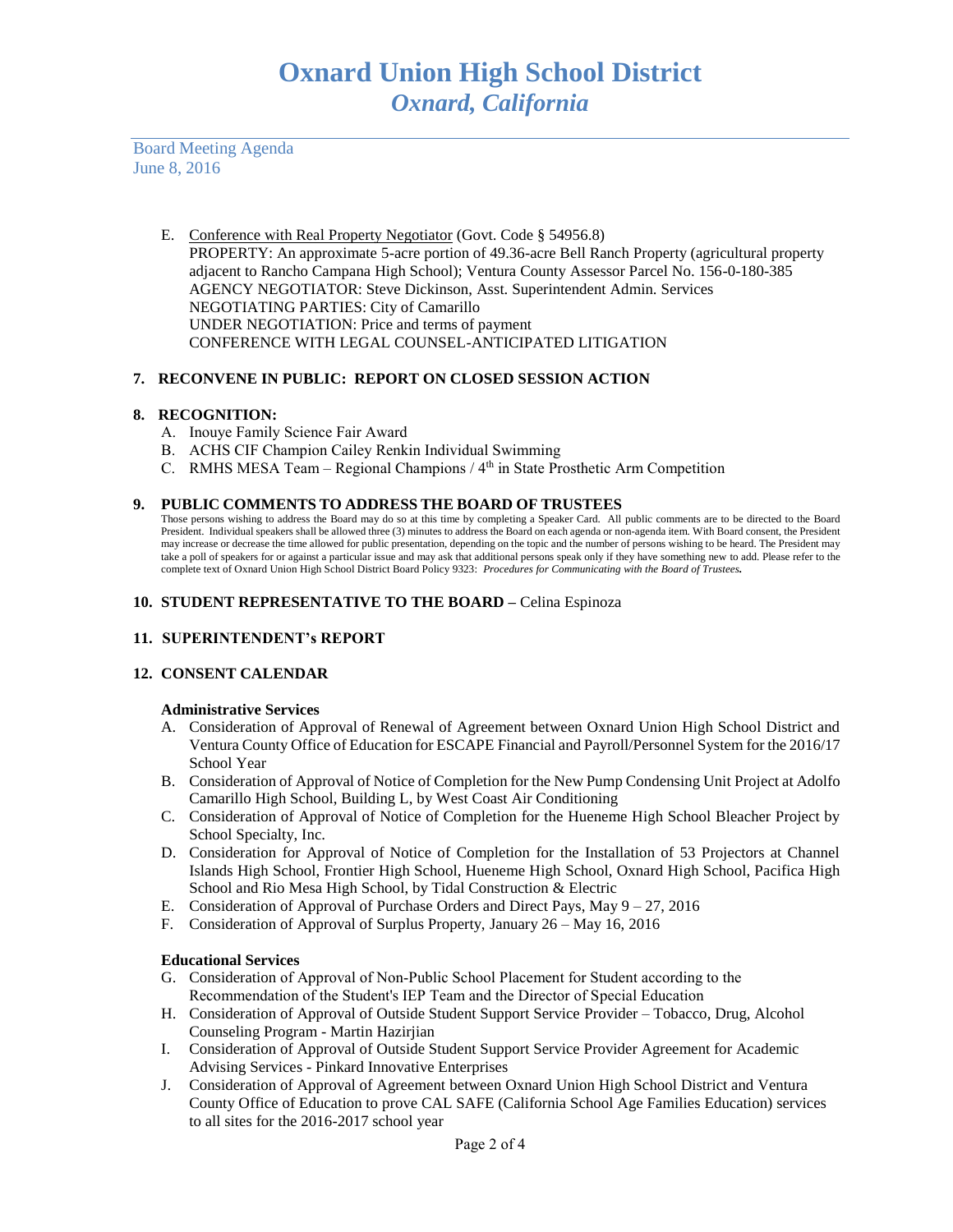Board Meeting Agenda June 8, 2016

> E. Conference with Real Property Negotiator (Govt. Code § 54956.8) PROPERTY: An approximate 5-acre portion of 49.36-acre Bell Ranch Property (agricultural property adjacent to Rancho Campana High School); Ventura County Assessor Parcel No. 156-0-180-385 AGENCY NEGOTIATOR: Steve Dickinson, Asst. Superintendent Admin. Services NEGOTIATING PARTIES: City of Camarillo UNDER NEGOTIATION: Price and terms of payment CONFERENCE WITH LEGAL COUNSEL-ANTICIPATED LITIGATION

# **7. RECONVENE IN PUBLIC: REPORT ON CLOSED SESSION ACTION**

# **8. RECOGNITION:**

- A. Inouye Family Science Fair Award
- B. ACHS CIF Champion Cailey Renkin Individual Swimming
- C. RMHS MESA Team Regional Champions / 4<sup>th</sup> in State Prosthetic Arm Competition

### **9. PUBLIC COMMENTS TO ADDRESS THE BOARD OF TRUSTEES**

Those persons wishing to address the Board may do so at this time by completing a Speaker Card. All public comments are to be directed to the Board President. Individual speakers shall be allowed three (3) minutes to address the Board on each agenda or non-agenda item. With Board consent, the President may increase or decrease the time allowed for public presentation, depending on the topic and the number of persons wishing to be heard. The President may take a poll of speakers for or against a particular issue and may ask that additional persons speak only if they have something new to add. Please refer to the complete text of Oxnard Union High School District Board Policy 9323: *Procedures for Communicating with the Board of Trustees.*

### **10. STUDENT REPRESENTATIVE TO THE BOARD –** Celina Espinoza

# **11. SUPERINTENDENT's REPORT**

# **12. CONSENT CALENDAR**

#### **Administrative Services**

- A. Consideration of Approval of Renewal of Agreement between Oxnard Union High School District and Ventura County Office of Education for ESCAPE Financial and Payroll/Personnel System for the 2016/17 School Year
- B. Consideration of Approval of Notice of Completion for the New Pump Condensing Unit Project at Adolfo Camarillo High School, Building L, by West Coast Air Conditioning
- C. Consideration of Approval of Notice of Completion for the Hueneme High School Bleacher Project by School Specialty, Inc.
- D. Consideration for Approval of Notice of Completion for the Installation of 53 Projectors at Channel Islands High School, Frontier High School, Hueneme High School, Oxnard High School, Pacifica High School and Rio Mesa High School, by Tidal Construction & Electric
- E. Consideration of Approval of Purchase Orders and Direct Pays, May 9 27, 2016
- F. Consideration of Approval of Surplus Property, January 26 May 16, 2016

#### **Educational Services**

- G. Consideration of Approval of Non-Public School Placement for Student according to the Recommendation of the Student's IEP Team and the Director of Special Education
- H. Consideration of Approval of Outside Student Support Service Provider Tobacco, Drug, Alcohol Counseling Program - Martin Hazirjian
- I. Consideration of Approval of Outside Student Support Service Provider Agreement for Academic Advising Services - Pinkard Innovative Enterprises
- J. Consideration of Approval of Agreement between Oxnard Union High School District and Ventura County Office of Education to prove CAL SAFE (California School Age Families Education) services to all sites for the 2016-2017 school year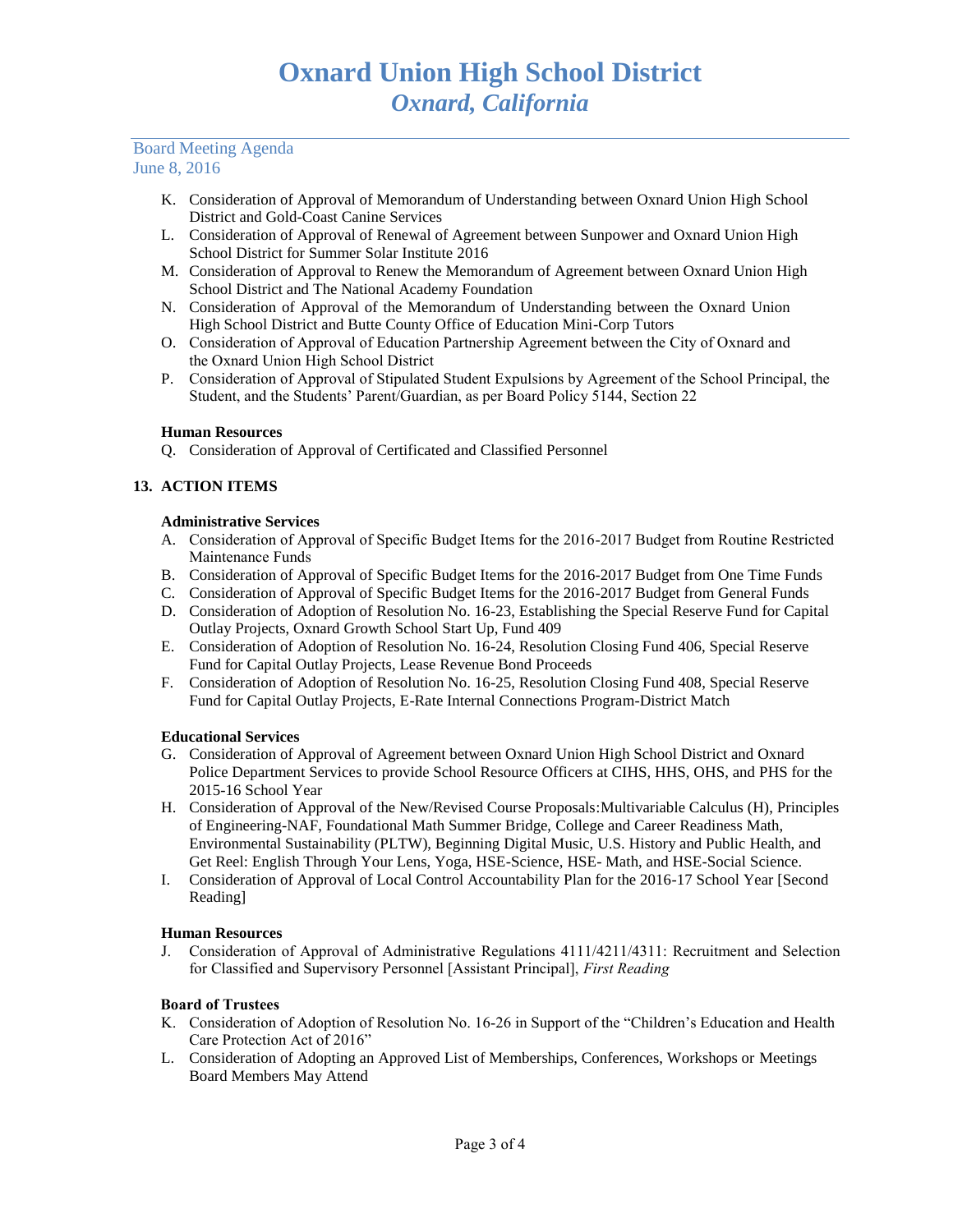# Board Meeting Agenda June 8, 2016

- K. Consideration of Approval of Memorandum of Understanding between Oxnard Union High School District and Gold-Coast Canine Services
- L. Consideration of Approval of Renewal of Agreement between Sunpower and Oxnard Union High School District for Summer Solar Institute 2016
- M. Consideration of Approval to Renew the Memorandum of Agreement between Oxnard Union High School District and The National Academy Foundation
- N. Consideration of Approval of the Memorandum of Understanding between the Oxnard Union High School District and Butte County Office of Education Mini-Corp Tutors
- O. Consideration of Approval of Education Partnership Agreement between the City of Oxnard and the Oxnard Union High School District
- P. Consideration of Approval of Stipulated Student Expulsions by Agreement of the School Principal, the Student, and the Students' Parent/Guardian, as per Board Policy 5144, Section 22

# **Human Resources**

Q. Consideration of Approval of Certificated and Classified Personnel

# **13. ACTION ITEMS**

# **Administrative Services**

- A. Consideration of Approval of Specific Budget Items for the 2016-2017 Budget from Routine Restricted Maintenance Funds
- B. Consideration of Approval of Specific Budget Items for the 2016-2017 Budget from One Time Funds
- C. Consideration of Approval of Specific Budget Items for the 2016-2017 Budget from General Funds
- D. Consideration of Adoption of Resolution No. 16-23, Establishing the Special Reserve Fund for Capital Outlay Projects, Oxnard Growth School Start Up, Fund 409
- E. Consideration of Adoption of Resolution No. 16-24, Resolution Closing Fund 406, Special Reserve Fund for Capital Outlay Projects, Lease Revenue Bond Proceeds
- F. Consideration of Adoption of Resolution No. 16-25, Resolution Closing Fund 408, Special Reserve Fund for Capital Outlay Projects, E-Rate Internal Connections Program-District Match

# **Educational Services**

- G. Consideration of Approval of Agreement between Oxnard Union High School District and Oxnard Police Department Services to provide School Resource Officers at CIHS, HHS, OHS, and PHS for the 2015-16 School Year
- H. Consideration of Approval of the New/Revised Course Proposals:Multivariable Calculus (H), Principles of Engineering-NAF, Foundational Math Summer Bridge, College and Career Readiness Math, Environmental Sustainability (PLTW), Beginning Digital Music, U.S. History and Public Health, and Get Reel: English Through Your Lens, Yoga, HSE-Science, HSE- Math, and HSE-Social Science.
- I. Consideration of Approval of Local Control Accountability Plan for the 2016-17 School Year [Second Reading]

# **Human Resources**

J. Consideration of Approval of Administrative Regulations 4111/4211/4311: Recruitment and Selection for Classified and Supervisory Personnel [Assistant Principal], *First Reading*

# **Board of Trustees**

- K. Consideration of Adoption of Resolution No. 16-26 in Support of the "Children's Education and Health Care Protection Act of 2016"
- L. Consideration of Adopting an Approved List of Memberships, Conferences, Workshops or Meetings Board Members May Attend